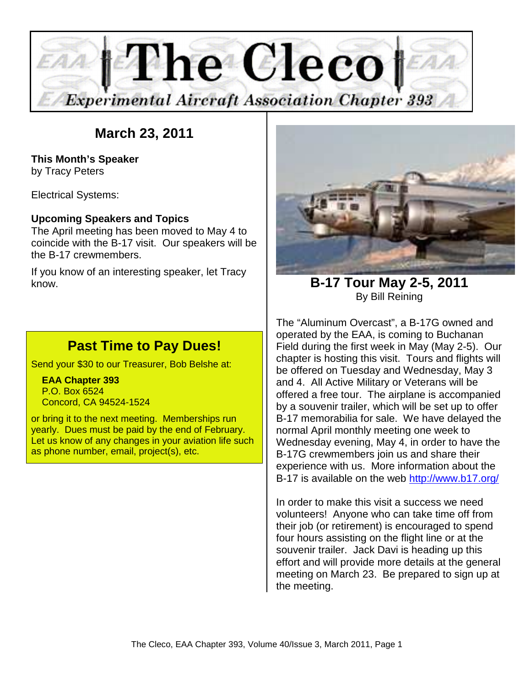

# **March 23, 2011**

**This Month's Speaker**  by Tracy Peters

Electrical Systems:

#### **Upcoming Speakers and Topics**

The April meeting has been moved to May 4 to coincide with the B-17 visit. Our speakers will be the B-17 crewmembers.

If you know of an interesting speaker, let Tracy know.

## **Past Time to Pay Dues!**

Send your \$30 to our Treasurer, Bob Belshe at:

 **EAA Chapter 393**  P.O. Box 6524 Concord, CA 94524-1524

or bring it to the next meeting. Memberships run yearly. Dues must be paid by the end of February. Let us know of any changes in your aviation life such as phone number, email, project(s), etc.



**B-17 Tour May 2-5, 2011**  By Bill Reining

The "Aluminum Overcast", a B-17G owned and operated by the EAA, is coming to Buchanan Field during the first week in May (May 2-5). Our chapter is hosting this visit. Tours and flights will be offered on Tuesday and Wednesday, May 3 and 4. All Active Military or Veterans will be offered a free tour. The airplane is accompanied by a souvenir trailer, which will be set up to offer B-17 memorabilia for sale. We have delayed the normal April monthly meeting one week to Wednesday evening, May 4, in order to have the B-17G crewmembers join us and share their experience with us. More information about the B-17 is available on the web http://www.b17.org/

In order to make this visit a success we need volunteers! Anyone who can take time off from their job (or retirement) is encouraged to spend four hours assisting on the flight line or at the souvenir trailer. Jack Davi is heading up this effort and will provide more details at the general meeting on March 23. Be prepared to sign up at the meeting.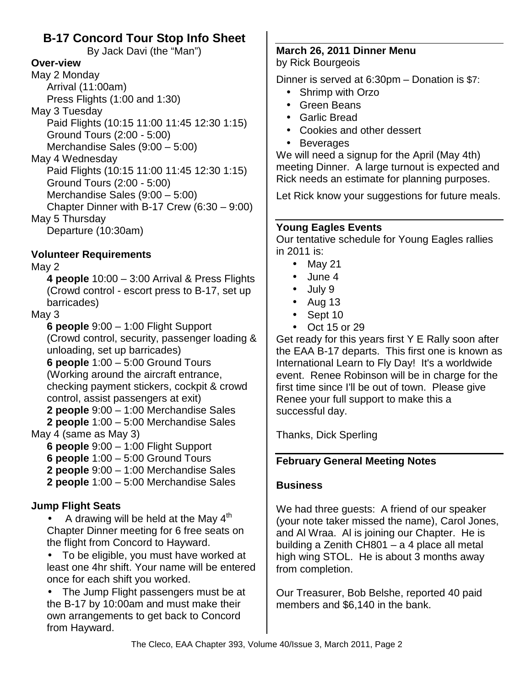## **B-17 Concord Tour Stop Info Sheet**

By Jack Davi (the "Man")

#### **Over-view**

May 2 Monday Arrival (11:00am) Press Flights (1:00 and 1:30) May 3 Tuesday Paid Flights (10:15 11:00 11:45 12:30 1:15) Ground Tours (2:00 - 5:00) Merchandise Sales (9:00 – 5:00) May 4 Wednesday Paid Flights (10:15 11:00 11:45 12:30 1:15) Ground Tours (2:00 - 5:00)

Merchandise Sales (9:00 – 5:00) Chapter Dinner with B-17 Crew (6:30 – 9:00)

May 5 Thursday

Departure (10:30am)

### **Volunteer Requirements**

#### May 2

**4 people** 10:00 – 3:00 Arrival & Press Flights (Crowd control - escort press to B-17, set up barricades)

### May 3

**6 people** 9:00 – 1:00 Flight Support (Crowd control, security, passenger loading & unloading, set up barricades)

**6 people** 1:00 – 5:00 Ground Tours (Working around the aircraft entrance, checking payment stickers, cockpit & crowd control, assist passengers at exit)

**2 people** 9:00 – 1:00 Merchandise Sales

**2 people** 1:00 – 5:00 Merchandise Sales May 4 (same as May 3)

**6 people** 9:00 – 1:00 Flight Support

**6 people** 1:00 – 5:00 Ground Tours

**2 people** 9:00 – 1:00 Merchandise Sales

**2 people** 1:00 – 5:00 Merchandise Sales

## **Jump Flight Seats**

A drawing will be held at the May  $4<sup>th</sup>$ Chapter Dinner meeting for 6 free seats on the flight from Concord to Hayward.

• To be eligible, you must have worked at least one 4hr shift. Your name will be entered once for each shift you worked.

• The Jump Flight passengers must be at the B-17 by 10:00am and must make their own arrangements to get back to Concord from Hayward.

#### **March 26, 2011 Dinner Menu**  by Rick Bourgeois

Dinner is served at 6:30pm – Donation is \$7:

- Shrimp with Orzo
- Green Beans
- Garlic Bread
- Cookies and other dessert
- Beverages

We will need a signup for the April (May 4th) meeting Dinner. A large turnout is expected and Rick needs an estimate for planning purposes.

Let Rick know your suggestions for future meals.

### **Young Eagles Events**

Our tentative schedule for Young Eagles rallies in 2011 is:

- May 21
- June 4
- July 9
- $\bullet$  Aug 13
- Sept 10
- Oct 15 or 29

Get ready for this years first Y E Rally soon after the EAA B-17 departs. This first one is known as International Learn to Fly Day! It's a worldwide event. Renee Robinson will be in charge for the first time since I'll be out of town. Please give Renee your full support to make this a successful day.

Thanks, Dick Sperling

## **February General Meeting Notes**

## **Business**

We had three guests: A friend of our speaker (your note taker missed the name), Carol Jones, and Al Wraa. Al is joining our Chapter. He is building a Zenith CH801 – a 4 place all metal high wing STOL. He is about 3 months away from completion.

Our Treasurer, Bob Belshe, reported 40 paid members and \$6,140 in the bank.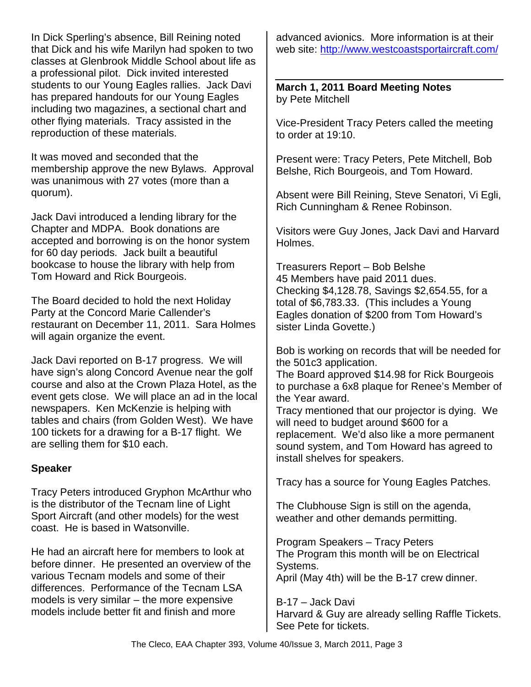In Dick Sperling's absence, Bill Reining noted that Dick and his wife Marilyn had spoken to two classes at Glenbrook Middle School about life as a professional pilot. Dick invited interested students to our Young Eagles rallies. Jack Davi has prepared handouts for our Young Eagles including two magazines, a sectional chart and other flying materials. Tracy assisted in the reproduction of these materials.

It was moved and seconded that the membership approve the new Bylaws. Approval was unanimous with 27 votes (more than a quorum).

Jack Davi introduced a lending library for the Chapter and MDPA. Book donations are accepted and borrowing is on the honor system for 60 day periods. Jack built a beautiful bookcase to house the library with help from Tom Howard and Rick Bourgeois.

The Board decided to hold the next Holiday Party at the Concord Marie Callender's restaurant on December 11, 2011. Sara Holmes will again organize the event.

Jack Davi reported on B-17 progress. We will have sign's along Concord Avenue near the golf course and also at the Crown Plaza Hotel, as the event gets close. We will place an ad in the local newspapers. Ken McKenzie is helping with tables and chairs (from Golden West). We have 100 tickets for a drawing for a B-17 flight. We are selling them for \$10 each.

#### **Speaker**

Tracy Peters introduced Gryphon McArthur who is the distributor of the Tecnam line of Light Sport Aircraft (and other models) for the west coast. He is based in Watsonville.

He had an aircraft here for members to look at before dinner. He presented an overview of the various Tecnam models and some of their differences. Performance of the Tecnam LSA models is very similar – the more expensive models include better fit and finish and more

advanced avionics. More information is at their web site: http://www.westcoastsportaircraft.com/

**March 1, 2011 Board Meeting Notes**  by Pete Mitchell

Vice-President Tracy Peters called the meeting to order at 19:10.

Present were: Tracy Peters, Pete Mitchell, Bob Belshe, Rich Bourgeois, and Tom Howard.

Absent were Bill Reining, Steve Senatori, Vi Egli, Rich Cunningham & Renee Robinson.

Visitors were Guy Jones, Jack Davi and Harvard Holmes.

Treasurers Report – Bob Belshe 45 Members have paid 2011 dues. Checking \$4,128.78, Savings \$2,654.55, for a total of \$6,783.33. (This includes a Young Eagles donation of \$200 from Tom Howard's sister Linda Govette.)

Bob is working on records that will be needed for the 501c3 application.

The Board approved \$14.98 for Rick Bourgeois to purchase a 6x8 plaque for Renee's Member of the Year award.

Tracy mentioned that our projector is dying. We will need to budget around \$600 for a replacement. We'd also like a more permanent sound system, and Tom Howard has agreed to install shelves for speakers.

Tracy has a source for Young Eagles Patches.

The Clubhouse Sign is still on the agenda, weather and other demands permitting.

Program Speakers – Tracy Peters The Program this month will be on Electrical Systems. April (May 4th) will be the B-17 crew dinner.

B-17 – Jack Davi Harvard & Guy are already selling Raffle Tickets. See Pete for tickets.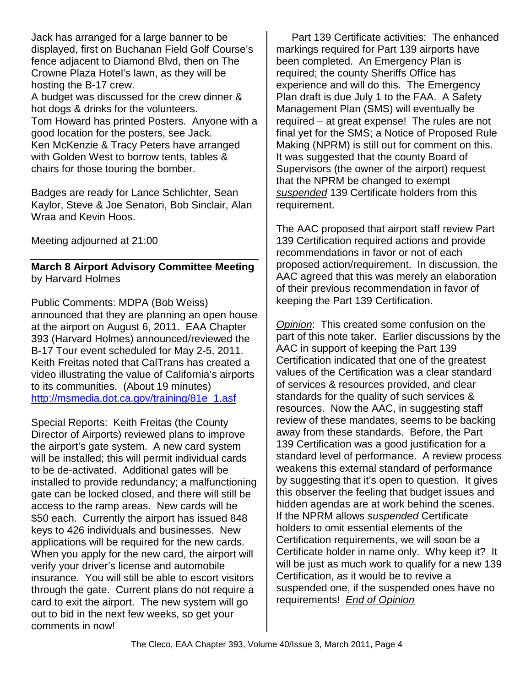Jack has arranged for a large banner to be displayed, first on Buchanan Field Golf Course's fence adjacent to Diamond Blvd, then on The Crowne Plaza Hotel's lawn, as they will be hosting the B-17 crew.

A budget was discussed for the crew dinner & hot dogs & drinks for the volunteers. Tom Howard has printed Posters. Anyone with a good location for the posters, see Jack. Ken McKenzie & Tracy Peters have arranged with Golden West to borrow tents, tables & chairs for those touring the bomber.

Badges are ready for Lance Schlichter, Sean Kaylor, Steve & Joe Senatori, Bob Sinclair, Alan Wraa and Kevin Hoos.

Meeting adjourned at 21:00

#### **March 8 Airport Advisory Committee Meeting**  by Harvard Holmes

Public Comments: MDPA (Bob Weiss) announced that they are planning an open house at the airport on August 6, 2011. EAA Chapter 393 (Harvard Holmes) announced/reviewed the B-17 Tour event scheduled for May 2-5, 2011. Keith Freitas noted that CalTrans has created a video illustrating the value of California's airports to its communities. (About 19 minutes) http://msmedia.dot.ca.gov/training/81e\_1.asf

Special Reports: Keith Freitas (the County Director of Airports) reviewed plans to improve the airport's gate system. A new card system will be installed; this will permit individual cards to be de-activated. Additional gates will be installed to provide redundancy; a malfunctioning gate can be locked closed, and there will still be access to the ramp areas. New cards will be \$50 each. Currently the airport has issued 848 keys to 426 individuals and businesses. New applications will be required for the new cards. When you apply for the new card, the airport will verify your driver's license and automobile insurance. You will still be able to escort visitors through the gate. Current plans do not require a card to exit the airport. The new system will go out to bid in the next few weeks, so get your comments in now!

Part 139 Certificate activities: The enhanced markings required for Part 139 airports have been completed. An Emergency Plan is required; the county Sheriffs Office has experience and will do this. The Emergency Plan draft is due July 1 to the FAA. A Safety Management Plan (SMS) will eventually be required – at great expense! The rules are not final yet for the SMS; a Notice of Proposed Rule Making (NPRM) is still out for comment on this. It was suggested that the county Board of Supervisors (the owner of the airport) request that the NPRM be changed to exempt suspended 139 Certificate holders from this requirement.

The AAC proposed that airport staff review Part 139 Certification required actions and provide recommendations in favor or not of each proposed action/requirement. In discussion, the AAC agreed that this was merely an elaboration of their previous recommendation in favor of keeping the Part 139 Certification.

Opinion: This created some confusion on the part of this note taker. Earlier discussions by the AAC in support of keeping the Part 139 Certification indicated that one of the greatest values of the Certification was a clear standard of services & resources provided, and clear standards for the quality of such services & resources. Now the AAC, in suggesting staff review of these mandates, seems to be backing away from these standards. Before, the Part 139 Certification was a good justification for a standard level of performance. A review process weakens this external standard of performance by suggesting that it's open to question. It gives this observer the feeling that budget issues and hidden agendas are at work behind the scenes. If the NPRM allows suspended Certificate holders to omit essential elements of the Certification requirements, we will soon be a Certificate holder in name only. Why keep it? It will be just as much work to qualify for a new 139 Certification, as it would be to revive a suspended one, if the suspended ones have no requirements! End of Opinion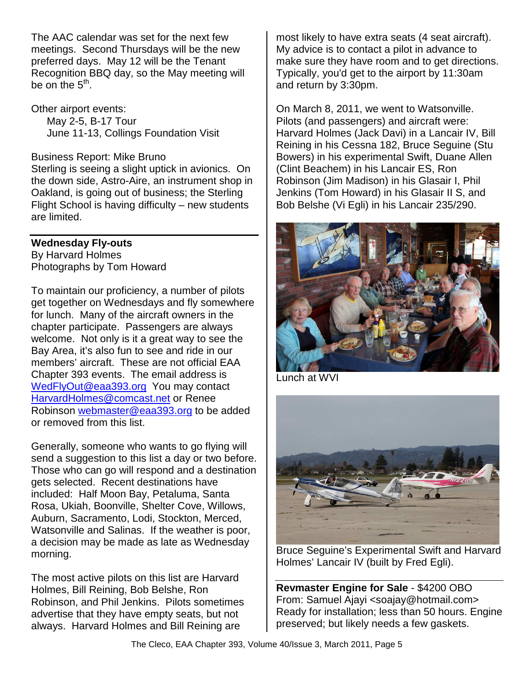The AAC calendar was set for the next few meetings. Second Thursdays will be the new preferred days. May 12 will be the Tenant Recognition BBQ day, so the May meeting will be on the  $5^{\text{th}}$ .

Other airport events: May 2-5, B-17 Tour June 11-13, Collings Foundation Visit

Business Report: Mike Bruno Sterling is seeing a slight uptick in avionics. On the down side, Astro-Aire, an instrument shop in Oakland, is going out of business; the Sterling Flight School is having difficulty – new students are limited.

#### **Wednesday Fly-outs**

By Harvard Holmes Photographs by Tom Howard

To maintain our proficiency, a number of pilots get together on Wednesdays and fly somewhere for lunch. Many of the aircraft owners in the chapter participate. Passengers are always welcome. Not only is it a great way to see the Bay Area, it's also fun to see and ride in our members' aircraft. These are not official EAA Chapter 393 events. The email address is WedFlyOut@eaa393.org You may contact HarvardHolmes@comcast.net or Renee Robinson webmaster@eaa393.org to be added or removed from this list.

Generally, someone who wants to go flying will send a suggestion to this list a day or two before. Those who can go will respond and a destination gets selected. Recent destinations have included: Half Moon Bay, Petaluma, Santa Rosa, Ukiah, Boonville, Shelter Cove, Willows, Auburn, Sacramento, Lodi, Stockton, Merced, Watsonville and Salinas. If the weather is poor, a decision may be made as late as Wednesday morning.

The most active pilots on this list are Harvard Holmes, Bill Reining, Bob Belshe, Ron Robinson, and Phil Jenkins. Pilots sometimes advertise that they have empty seats, but not always. Harvard Holmes and Bill Reining are

most likely to have extra seats (4 seat aircraft). My advice is to contact a pilot in advance to make sure they have room and to get directions. Typically, you'd get to the airport by 11:30am and return by 3:30pm.

On March 8, 2011, we went to Watsonville. Pilots (and passengers) and aircraft were: Harvard Holmes (Jack Davi) in a Lancair IV, Bill Reining in his Cessna 182, Bruce Seguine (Stu Bowers) in his experimental Swift, Duane Allen (Clint Beachem) in his Lancair ES, Ron Robinson (Jim Madison) in his Glasair I, Phil Jenkins (Tom Howard) in his Glasair II S, and Bob Belshe (Vi Egli) in his Lancair 235/290.



Lunch at WVI



Bruce Seguine's Experimental Swift and Harvard Holmes' Lancair IV (built by Fred Egli).

**Revmaster Engine for Sale** - \$4200 OBO From: Samuel Ajayi <soajay@hotmail.com> Ready for installation; less than 50 hours. Engine preserved; but likely needs a few gaskets.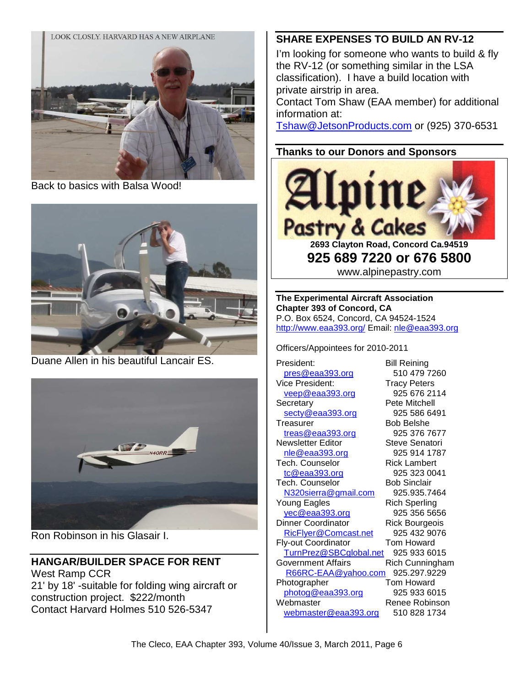

Back to basics with Balsa Wood!



Duane Allen in his beautiful Lancair ES.



Ron Robinson in his Glasair I.

## **HANGAR/BUILDER SPACE FOR RENT**

West Ramp CCR 21' by 18' -suitable for folding wing aircraft or construction project. \$222/month Contact Harvard Holmes 510 526-5347

#### **SHARE EXPENSES TO BUILD AN RV-12**

I'm looking for someone who wants to build & fly the RV-12 (or something similar in the LSA classification). I have a build location with private airstrip in area.

Contact Tom Shaw (EAA member) for additional information at:

Tshaw@JetsonProducts.com or (925) 370-6531

#### **Thanks to our Donors and Sponsors**



**925 689 7220 or 676 5800**  www.alpinepastry.com

**The Experimental Aircraft Association Chapter 393 of Concord, CA**  P.O. Box 6524, Concord, CA 94524-1524 http://www.eaa393.org/ Email: nle@eaa393.org

Officers/Appointees for 2010-2011

President: Bill Reining pres@eaa393.org 510 479 7260 Vice President: Tracy Peters veep@eaa393.org 925 676 2114 Secretary **Pete Mitchell** secty@eaa393.org 925 586 6491 Treasurer Bob Belshe treas@eaa393.org 925 376 7677 Newsletter Editor **Steve Senatori** nle@eaa393.org 925 914 1787 Tech. Counselor **Rick Lambert** tc@eaa393.org 925 323 0041 Tech. Counselor Bob Sinclair N320sierra@gmail.com 925.935.7464 Young Eagles **Rich Sperling** yec@eaa393.org 925 356 5656 Dinner Coordinator Rick Bourgeois RicFlyer@Comcast.net 925 432 9076 Fly-out Coordinator Tom Howard TurnPrez@SBCglobal.net 925 933 6015 Government Affairs **Rich Cunningham**  R66RC-EAA@yahoo.com 925.297.9229 Photographer Tom Howard photog@eaa393.org 925 933 6015 Webmaster Renee Robinson webmaster@eaa393.org 510 828 1734